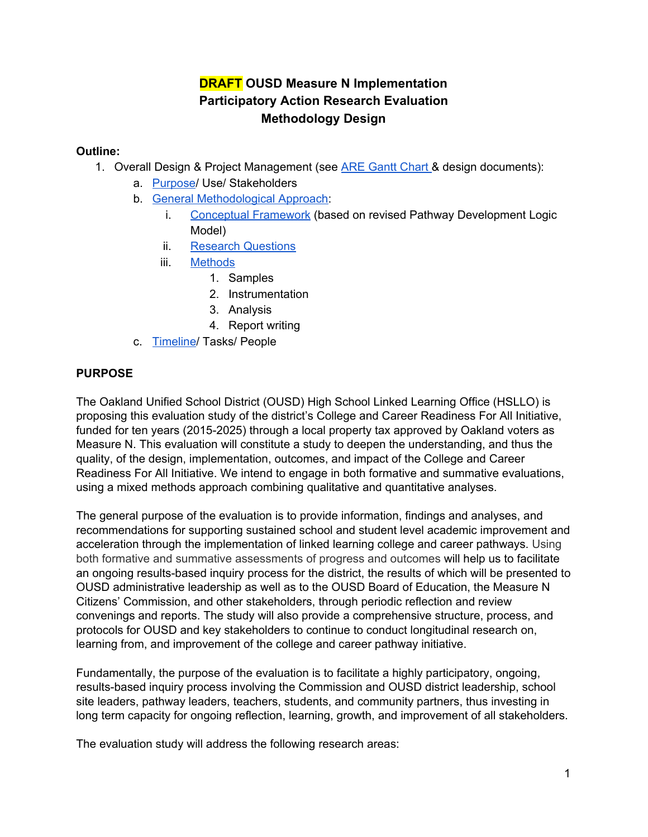# **DRAFT OUSD Measure N Implementation Participatory Action Research Evaluation Methodology Design**

## **Outline:**

- 1. Overall Design & Project Management (see **ARE [Gantt](https://docs.google.com/a/ousd.k12.ca.us/spreadsheets/d/1xCXUm2Gnt8u3MehNsxeQ0kXRiHToan8H0l1yQnEPlIg/edit?usp=sharing) Chart & design documents)**:
	- a. [Purpose/](#page-0-0) Use/ Stakeholders
	- b. General [Methodological](#page-2-0) Approach:
		- i. [Conceptual](#page-4-0) Framework (based on revised Pathway Development Logic Model)
		- ii. Research [Questions](#page-5-0)
		- iii. [Methods](#page-9-0)
			- 1. Samples
			- 2. Instrumentation
			- 3. Analysis
			- 4. Report writing
	- c. [Timeline/](#page-10-0) Tasks/ People

## <span id="page-0-0"></span>**PURPOSE**

The Oakland Unified School District (OUSD) High School Linked Learning Office (HSLLO) is proposing this evaluation study of the district's College and Career Readiness For All Initiative, funded for ten years (2015-2025) through a local property tax approved by Oakland voters as Measure N. This evaluation will constitute a study to deepen the understanding, and thus the quality, of the design, implementation, outcomes, and impact of the College and Career Readiness For All Initiative. We intend to engage in both formative and summative evaluations, using a mixed methods approach combining qualitative and quantitative analyses.

The general purpose of the evaluation is to provide information, findings and analyses, and recommendations for supporting sustained school and student level academic improvement and acceleration through the implementation of linked learning college and career pathways. Using both formative and summative assessments of progress and outcomes will help us to facilitate an ongoing results-based inquiry process for the district, the results of which will be presented to OUSD administrative leadership as well as to the OUSD Board of Education, the Measure N Citizens' Commission, and other stakeholders, through periodic reflection and review convenings and reports. The study will also provide a comprehensive structure, process, and protocols for OUSD and key stakeholders to continue to conduct longitudinal research on, learning from, and improvement of the college and career pathway initiative.

Fundamentally, the purpose of the evaluation is to facilitate a highly participatory, ongoing, results-based inquiry process involving the Commission and OUSD district leadership, school site leaders, pathway leaders, teachers, students, and community partners, thus investing in long term capacity for ongoing reflection, learning, growth, and improvement of all stakeholders.

The evaluation study will address the following research areas: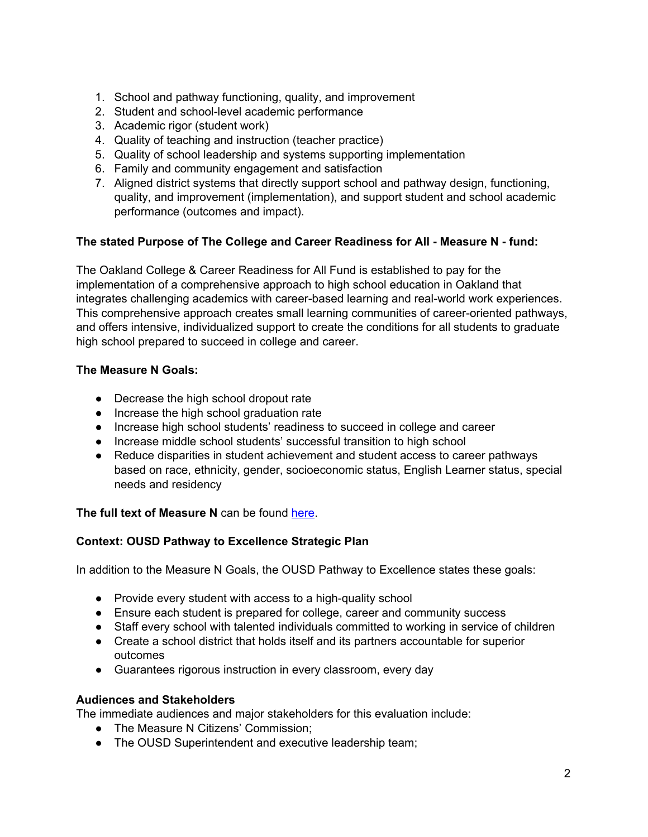- 1. School and pathway functioning, quality, and improvement
- 2. Student and school-level academic performance
- 3. Academic rigor (student work)
- 4. Quality of teaching and instruction (teacher practice)
- 5. Quality of school leadership and systems supporting implementation
- 6. Family and community engagement and satisfaction
- 7. Aligned district systems that directly support school and pathway design, functioning, quality, and improvement (implementation), and support student and school academic performance (outcomes and impact).

### **The stated Purpose of The College and Career Readiness for All - Measure N - fund:**

The Oakland College & Career Readiness for All Fund is established to pay for the implementation of a comprehensive approach to high school education in Oakland that integrates challenging academics with career-based learning and real-world work experiences. This comprehensive approach creates small learning communities of career-oriented pathways, and offers intensive, individualized support to create the conditions for all students to graduate high school prepared to succeed in college and career.

### **The Measure N Goals:**

- Decrease the high school dropout rate
- Increase the high school graduation rate
- Increase high school students' readiness to succeed in college and career
- Increase middle school students' successful transition to high school
- Reduce disparities in student achievement and student access to career pathways based on race, ethnicity, gender, socioeconomic status, English Learner status, special needs and residency

### **The full text of Measure N** can be found [here.](https://drive.google.com/open?id=0B6zjinOBh0pCQXc3YjZlVmtCeEd5RGJIalpfclJSWlVXSk1r)

### **Context: OUSD Pathway to Excellence Strategic Plan**

In addition to the Measure N Goals, the OUSD Pathway to Excellence states these goals:

- Provide every student with access to a high-quality school
- Ensure each student is prepared for college, career and community success
- Staff every school with talented individuals committed to working in service of children
- Create a school district that holds itself and its partners accountable for superior outcomes
- Guarantees rigorous instruction in every classroom, every day

### **Audiences and Stakeholders**

The immediate audiences and major stakeholders for this evaluation include:

- The Measure N Citizens' Commission;
- The OUSD Superintendent and executive leadership team;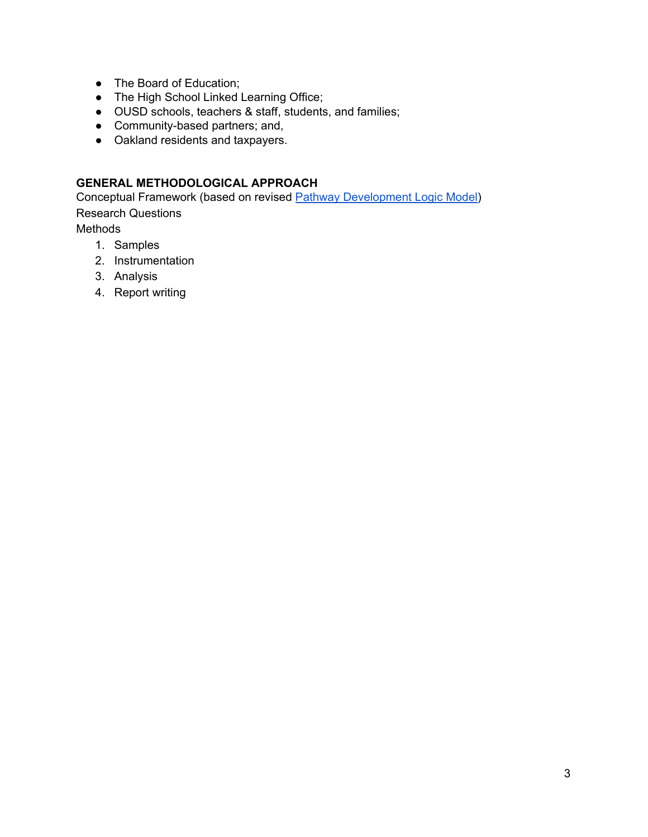- The Board of Education;
- The High School Linked Learning Office;
- OUSD schools, teachers & staff, students, and families;
- Community-based partners; and,
- Oakland residents and taxpayers.

## <span id="page-2-0"></span>**GENERAL METHODOLOGICAL APPROACH**

Conceptual Framework (based on revised Pathway [Development](https://drive.google.com/a/ousd.k12.ca.us/file/d/0BwE68UfkSzgtVjZCRG1UbTRkbXM/view?usp=sharing) Logic Model) Research Questions

Methods

- 1. Samples
- 2. Instrumentation
- 3. Analysis
- 4. Report writing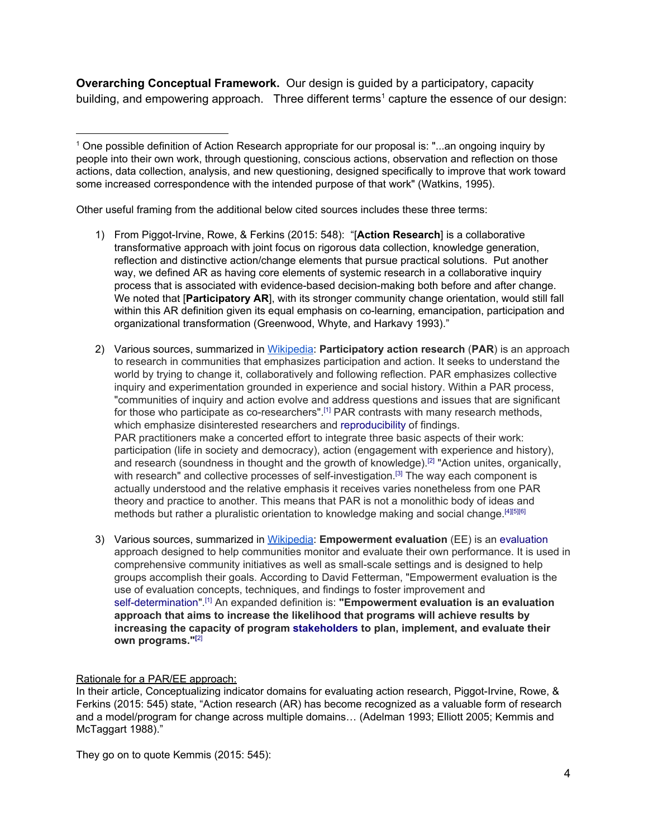**Overarching Conceptual Framework.** Our design is guided by a participatory, capacity building, and empowering approach. Three different terms<sup>1</sup> capture the essence of our design:

Other useful framing from the additional below cited sources includes these three terms:

- 1) From Piggot-Irvine, Rowe, & Ferkins (2015: 548): "[**Action Research**] is a collaborative transformative approach with joint focus on rigorous data collection, knowledge generation, reflection and distinctive action/change elements that pursue practical solutions. Put another way, we defined AR as having core elements of systemic research in a collaborative inquiry process that is associated with evidence-based decision-making both before and after change. We noted that [**Participatory AR**], with its stronger community change orientation, would still fall within this AR definition given its equal emphasis on co-learning, emancipation, participation and organizational transformation (Greenwood, Whyte, and Harkavy 1993)."
- 2) Various sources, summarized in [Wikipedia:](https://en.wikipedia.org/wiki/Participatory_action_research) **Participatory action research** (**PAR**) is an approach to research in communities that emphasizes participation and action. It seeks to understand the world by trying to change it, collaboratively and following reflection. PAR emphasizes collective inquiry and experimentation grounded in experience and social history. Within a PAR process, "communities of inquiry and action evolve and address questions and issues that are significant for those who participate as co-researchers".<sup>[\[1\]](https://en.wikipedia.org/wiki/Participatory_action_research#cite_note-ReasonBradbury2008-1)</sup> PAR contrasts with many research methods, which emphasize disinterested researchers and [reproducibility](https://en.wikipedia.org/wiki/Reproducibility) of findings. PAR practitioners make a concerted effort to integrate three basic aspects of their work: participation (life in society and democracy), action (engagement with experience and history), and research (soundness in thought and the growth of knowledge).<sup>[\[2\]](https://en.wikipedia.org/wiki/Participatory_action_research#cite_note-ChevalierBuckles2013-2)</sup> "Action unites, organically, with research" and collective processes of self-investigation.<sup>[\[3\]](https://en.wikipedia.org/wiki/Participatory_action_research#cite_note-Rahman2008-3)</sup> The way each component is actually understood and the relative emphasis it receives varies nonetheless from one PAR theory and practice to another. This means that PAR is not a monolithic body of ideas and methods but rather a pluralistic orientation to knowledge making and social change.<sup>[\[4\]](https://en.wikipedia.org/wiki/Participatory_action_research#cite_note-Chambers2008-4)[\[5\]](https://en.wikipedia.org/wiki/Participatory_action_research#cite_note-Allen2001-5)[\[6\]](https://en.wikipedia.org/wiki/Participatory_action_research#cite_note-CamicJoas2003-6)</sup>
- 3) Various sources, summarized in [Wikipedia:](https://en.wikipedia.org/wiki/Empowerment_evaluation) **Empowerment evaluation** (EE) is an [evaluation](https://en.wikipedia.org/wiki/Evaluation) approach designed to help communities monitor and evaluate their own performance. It is used in comprehensive community initiatives as well as small-scale settings and is designed to help groups accomplish their goals. According to David Fetterman, "Empowerment evaluation is the use of evaluation concepts, techniques, and findings to foster improvement and [self-determination"](https://en.wikipedia.org/wiki/Self-determination). [\[1\]](https://en.wikipedia.org/wiki/Empowerment_evaluation#cite_note-FOOTNOTEFetterman1994-1) An expanded definition is: **"Empowerment evaluation is an evaluation approach that aims to increase the likelihood that programs will achieve results by increasing the capacity of program [stakeholders](https://en.wikipedia.org/wiki/Project_stakeholder) to plan, implement, and evaluate their own programs." [\[](https://en.wikipedia.org/wiki/Empowerment_evaluation#cite_note-FOOTNOTEWandersmanSnell-JohnsLentzFettermanKeener-2)**[2\]](https://en.wikipedia.org/wiki/Empowerment_evaluation#cite_note-FOOTNOTEWandersmanSnell-JohnsLentzFettermanKeener-2)

#### Rationale for a PAR/EE approach:

In their article, Conceptualizing indicator domains for evaluating action research, Piggot-Irvine, Rowe, & Ferkins (2015: 545) state, "Action research (AR) has become recognized as a valuable form of research and a model/program for change across multiple domains… (Adelman 1993; Elliott 2005; Kemmis and McTaggart 1988)."

They go on to quote Kemmis (2015: 545):

<sup>1</sup> One possible definition of Action Research appropriate for our proposal is: "...an ongoing inquiry by people into their own work, through questioning, conscious actions, observation and reflection on those actions, data collection, analysis, and new questioning, designed specifically to improve that work toward some increased correspondence with the intended purpose of that work" (Watkins, 1995).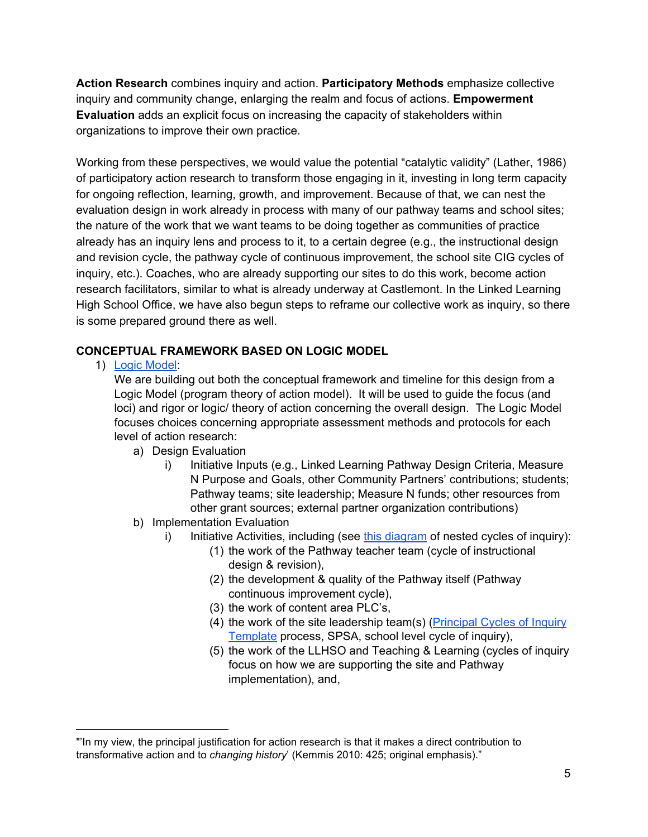**Action Research** combines inquiry and action. **Participatory Methods** emphasize collective inquiry and community change, enlarging the realm and focus of actions. **Empowerment Evaluation** adds an explicit focus on increasing the capacity of stakeholders within organizations to improve their own practice.

Working from these perspectives, we would value the potential "catalytic validity" (Lather, 1986) of participatory action research to transform those engaging in it, investing in long term capacity for ongoing reflection, learning, growth, and improvement. Because of that, we can nest the evaluation design in work already in process with many of our pathway teams and school sites; the nature of the work that we want teams to be doing together as communities of practice already has an inquiry lens and process to it, to a certain degree (e.g., the instructional design and revision cycle, the pathway cycle of continuous improvement, the school site CIG cycles of inquiry, etc.). Coaches, who are already supporting our sites to do this work, become action research facilitators, similar to what is already underway at Castlemont. In the Linked Learning High School Office, we have also begun steps to reframe our collective work as inquiry, so there is some prepared ground there as well.

## <span id="page-4-0"></span>**CONCEPTUAL FRAMEWORK BASED ON LOGIC MODEL**

1) Logic [Model:](https://drive.google.com/open?id=0BwE68UfkSzgtUlhyZmZKbEh0emM)

We are building out both the conceptual framework and timeline for this design from a Logic Model (program theory of action model). It will be used to guide the focus (and loci) and rigor or logic/ theory of action concerning the overall design. The Logic Model focuses choices concerning appropriate assessment methods and protocols for each level of action research:

- a) Design Evaluation
	- i) Initiative Inputs (e.g., Linked Learning Pathway Design Criteria, Measure N Purpose and Goals, other Community Partners' contributions; students; Pathway teams; site leadership; Measure N funds; other resources from other grant sources; external partner organization contributions)
- b) Implementation Evaluation
	- i) Initiative Activities, including (see this [diagram](https://docs.google.com/a/ousd.k12.ca.us/drawings/d/1xXWX8Pad3TM66gD8lhGwI0zDYlqEJx-nxCn0D4gPtaQ/edit?usp=sharing) of nested cycles of inquiry):
		- (1) the work of the Pathway teacher team (cycle of instructional design & revision),
		- (2) the development & quality of the Pathway itself (Pathway continuous improvement cycle),
		- (3) the work of content area PLC's,
		- (4) the work of the site leadership team(s) [\(Principal](https://drive.google.com/open?id=1XzKLRp_DNqXlOC_S2kmRhu9bGbqHNef2cRHqoihsRJg) Cycles of Inquiry [Template](https://drive.google.com/open?id=1XzKLRp_DNqXlOC_S2kmRhu9bGbqHNef2cRHqoihsRJg) process, SPSA, school level cycle of inquiry),
		- (5) the work of the LLHSO and Teaching & Learning (cycles of inquiry focus on how we are supporting the site and Pathway implementation), and,

<sup>&</sup>quot;'In my view, the principal justification for action research is that it makes a direct contribution to transformative action and to *changing history*' (Kemmis 2010: 425; original emphasis)."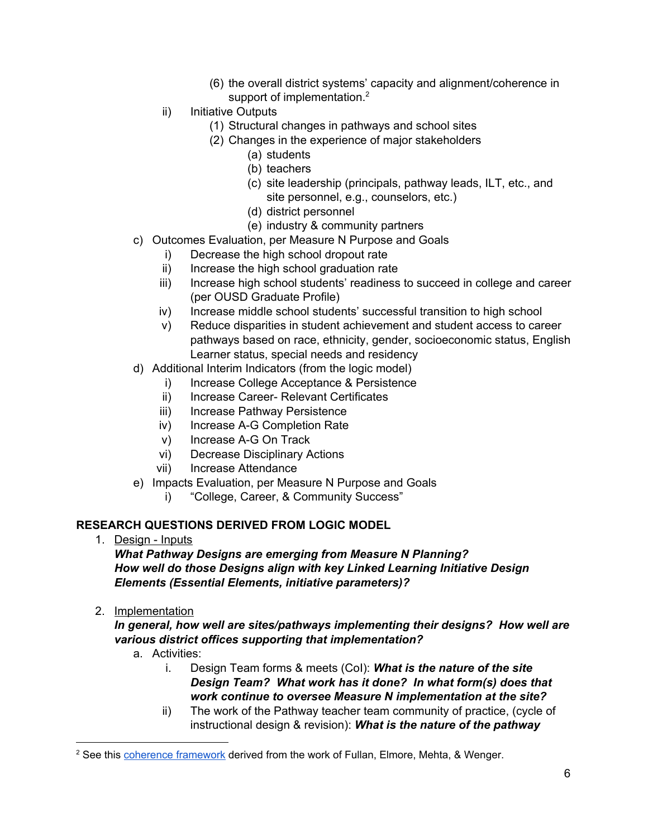- (6) the overall district systems' capacity and alignment/coherence in support of implementation.<sup>2</sup>
- ii) Initiative Outputs
	- (1) Structural changes in pathways and school sites
	- (2) Changes in the experience of major stakeholders
		- (a) students
		- (b) teachers
		- (c) site leadership (principals, pathway leads, ILT, etc., and site personnel, e.g., counselors, etc.)
		- (d) district personnel
		- (e) industry & community partners
- c) Outcomes Evaluation, per Measure N Purpose and Goals
	- i) Decrease the high school dropout rate
	- ii) Increase the high school graduation rate
	- iii) Increase high school students' readiness to succeed in college and career (per OUSD Graduate Profile)
	- iv) Increase middle school students' successful transition to high school
	- v) Reduce disparities in student achievement and student access to career pathways based on race, ethnicity, gender, socioeconomic status, English Learner status, special needs and residency
- d) Additional Interim Indicators (from the logic model)
	- i) Increase College Acceptance & Persistence
	- ii) Increase Career- Relevant Certificates
	- iii) Increase Pathway Persistence
	- iv) Increase A-G Completion Rate
	- v) Increase A-G On Track
	- vi) Decrease Disciplinary Actions
	- vii) Increase Attendance
- e) Impacts Evaluation, per Measure N Purpose and Goals
	- i) "College, Career, & Community Success"

### <span id="page-5-0"></span>**RESEARCH QUESTIONS DERIVED FROM LOGIC MODEL**

1. Design - Inputs

*What Pathway Designs are emerging from Measure N Planning? How well do those Designs align with key Linked Learning Initiative Design Elements (Essential Elements, initiative parameters)?*

2. Implementation

*In general, how well are sites/pathways implementing their designs? How well are various district offices supporting that implementation?*

- a. Activities:
	- i. Design Team forms & meets (CoI): *What is the nature of the site Design Team? What work has it done? In what form(s) does that work continue to oversee Measure N implementation at the site?*
	- ii) The work of the Pathway teacher team community of practice, (cycle of instructional design & revision): *What is the nature of the pathway*

<sup>&</sup>lt;sup>2</sup> See this [coherence](https://drive.google.com/open?id=0BwE68UfkSzgteUNTTGhNVDc5M3M) framework derived from the work of Fullan, Elmore, Mehta, & Wenger.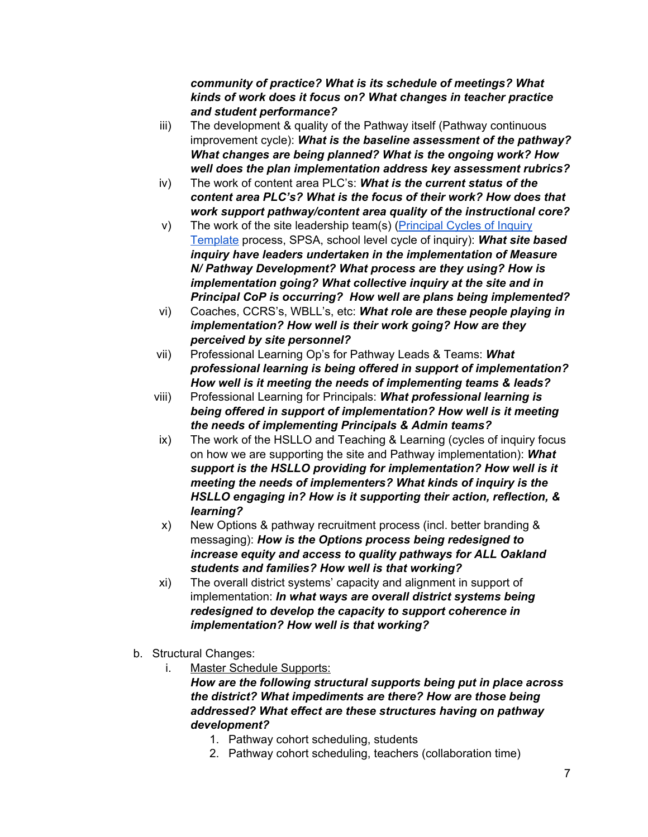### *community of practice? What is its schedule of meetings? What kinds of work does it focus on? What changes in teacher practice and student performance?*

- iii) The development & quality of the Pathway itself (Pathway continuous improvement cycle): *What is the baseline assessment of the pathway? What changes are being planned? What is the ongoing work? How well does the plan implementation address key assessment rubrics?*
- iv) The work of content area PLC's: *What is the current status of the content area PLC's? What is the focus of their work? How does that work support pathway/content area quality of the instructional core?*
- v) The work of the site leadership team(s) [\(Principal](https://drive.google.com/open?id=1XzKLRp_DNqXlOC_S2kmRhu9bGbqHNef2cRHqoihsRJg) Cycles of Inquiry [Template](https://drive.google.com/open?id=1XzKLRp_DNqXlOC_S2kmRhu9bGbqHNef2cRHqoihsRJg) process, SPSA, school level cycle of inquiry): *What site based inquiry have leaders undertaken in the implementation of Measure N/ Pathway Development? What process are they using? How is implementation going? What collective inquiry at the site and in Principal CoP is occurring? How well are plans being implemented?*
- vi) Coaches, CCRS's, WBLL's, etc: *What role are these people playing in implementation? How well is their work going? How are they perceived by site personnel?*
- vii) Professional Learning Op's for Pathway Leads & Teams: *What professional learning is being offered in support of implementation? How well is it meeting the needs of implementing teams & leads?*
- viii) Professional Learning for Principals: *What professional learning is being offered in support of implementation? How well is it meeting the needs of implementing Principals & Admin teams?*
- ix) The work of the HSLLO and Teaching & Learning (cycles of inquiry focus on how we are supporting the site and Pathway implementation): *What support is the HSLLO providing for implementation? How well is it meeting the needs of implementers? What kinds of inquiry is the HSLLO engaging in? How is it supporting their action, reflection, & learning?*
- x) New Options & pathway recruitment process (incl. better branding & messaging): *How is the Options process being redesigned to increase equity and access to quality pathways for ALL Oakland students and families? How well is that working?*
- xi) The overall district systems' capacity and alignment in support of implementation: *In what ways are overall district systems being redesigned to develop the capacity to support coherence in implementation? How well is that working?*
- b. Structural Changes:
	- i. Master Schedule Supports:

*How are the following structural supports being put in place across the district? What impediments are there? How are those being addressed? What effect are these structures having on pathway development?*

- 1. Pathway cohort scheduling, students
- 2. Pathway cohort scheduling, teachers (collaboration time)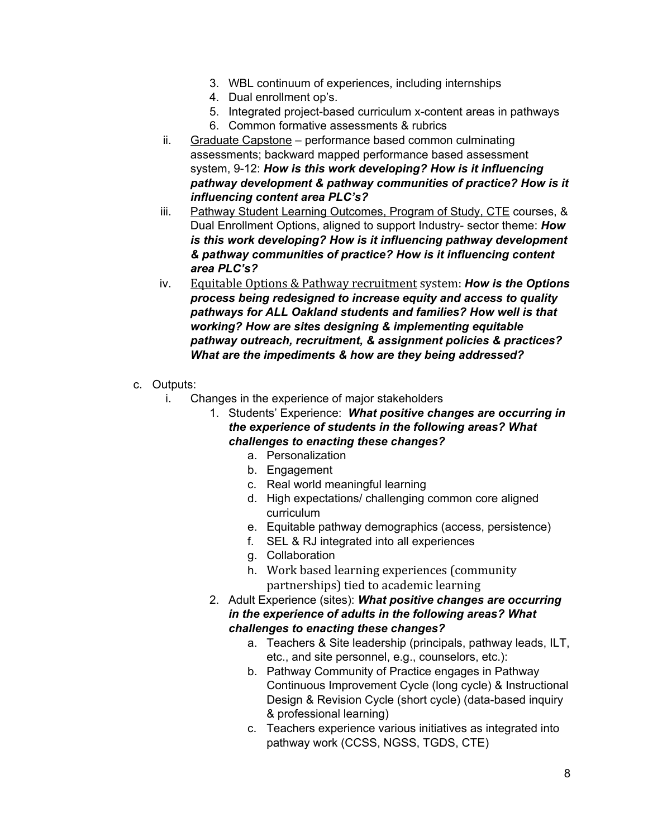- 3. WBL continuum of experiences, including internships
- 4. Dual enrollment op's.
- 5. Integrated project-based curriculum x-content areas in pathways
- 6. Common formative assessments & rubrics
- ii. Graduate Capstone performance based common culminating assessments; backward mapped performance based assessment system, 9-12: *How is this work developing? How is it influencing pathway development & pathway communities of practice? How is it influencing content area PLC's?*
- iii. Pathway Student Learning Outcomes, Program of Study, CTE courses, & Dual Enrollment Options, aligned to support Industry- sector theme: *How is this work developing? How is it influencing pathway development & pathway communities of practice? How is it influencing content area PLC's?*
- iv. Equitable Options & Pathway recruitment system: *How is the Options process being redesigned to increase equity and access to quality pathways for ALL Oakland students and families? How well is that working? How are sites designing & implementing equitable pathway outreach, recruitment, & assignment policies & practices? What are the impediments & how are they being addressed?*
- c. Outputs:
	- i. Changes in the experience of major stakeholders

1. Students' Experience: *What positive changes are occurring in the experience of students in the following areas? What challenges to enacting these changes?*

- a. Personalization
- b. Engagement
- c. Real world meaningful learning
- d. High expectations/ challenging common core aligned curriculum
- e. Equitable pathway demographics (access, persistence)
- f. SEL & RJ integrated into all experiences
- g. Collaboration
- h. Work based learning experiences (community partnerships) tied to academic learning
- 2. Adult Experience (sites): *What positive changes are occurring in the experience of adults in the following areas? What challenges to enacting these changes?*
	- a. Teachers & Site leadership (principals, pathway leads, ILT, etc., and site personnel, e.g., counselors, etc.):
	- b. Pathway Community of Practice engages in Pathway Continuous Improvement Cycle (long cycle) & Instructional Design & Revision Cycle (short cycle) (data-based inquiry & professional learning)
	- c. Teachers experience various initiatives as integrated into pathway work (CCSS, NGSS, TGDS, CTE)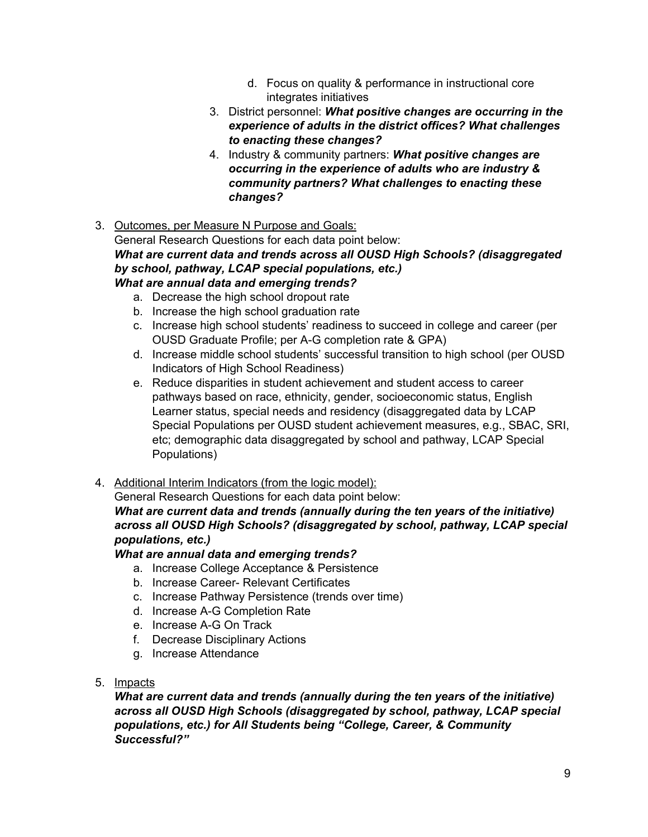- d. Focus on quality & performance in instructional core integrates initiatives
- 3. District personnel: *What positive changes are occurring in the experience of adults in the district offices? What challenges to enacting these changes?*
- 4. Industry & community partners: *What positive changes are occurring in the experience of adults who are industry & community partners? What challenges to enacting these changes?*
- 3. Outcomes, per Measure N Purpose and Goals:

General Research Questions for each data point below: *What are current data and trends across all OUSD High Schools? (disaggregated by school, pathway, LCAP special populations, etc.) What are annual data and emerging trends?*

- a. Decrease the high school dropout rate
- b. Increase the high school graduation rate
- c. Increase high school students' readiness to succeed in college and career (per OUSD Graduate Profile; per A-G completion rate & GPA)
- d. Increase middle school students' successful transition to high school (per OUSD Indicators of High School Readiness)
- e. Reduce disparities in student achievement and student access to career pathways based on race, ethnicity, gender, socioeconomic status, English Learner status, special needs and residency (disaggregated data by LCAP Special Populations per OUSD student achievement measures, e.g., SBAC, SRI, etc; demographic data disaggregated by school and pathway, LCAP Special Populations)
- 4. Additional Interim Indicators (from the logic model):

General Research Questions for each data point below:

## *What are current data and trends (annually during the ten years of the initiative) across all OUSD High Schools? (disaggregated by school, pathway, LCAP special populations, etc.)*

## *What are annual data and emerging trends?*

- a. Increase College Acceptance & Persistence
- b. Increase Career- Relevant Certificates
- c. Increase Pathway Persistence (trends over time)
- d. Increase A-G Completion Rate
- e. Increase A-G On Track
- f. Decrease Disciplinary Actions
- g. Increase Attendance
- 5. Impacts

*What are current data and trends (annually during the ten years of the initiative) across all OUSD High Schools (disaggregated by school, pathway, LCAP special populations, etc.) for All Students being "College, Career, & Community Successful?"*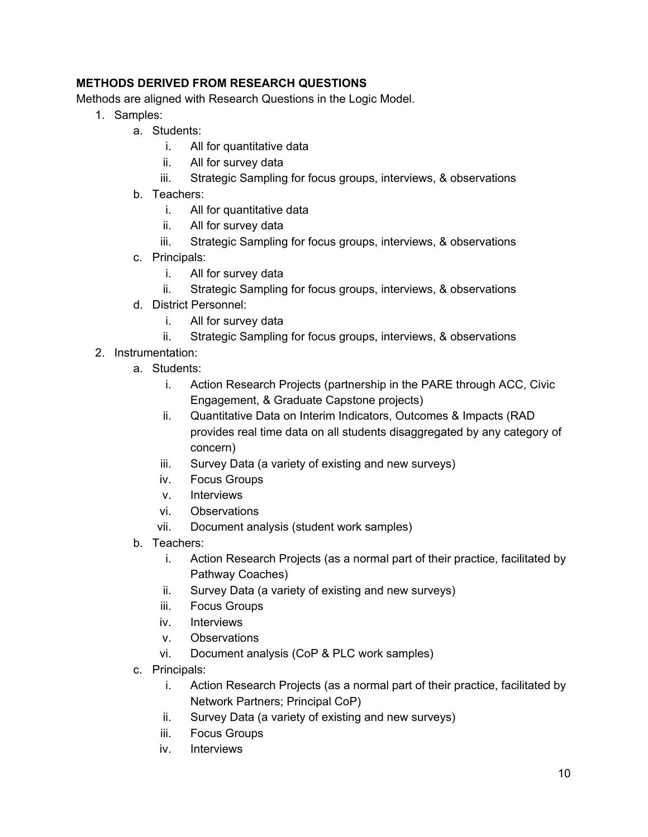## <span id="page-9-0"></span>**METHODS DERIVED FROM RESEARCH QUESTIONS**

Methods are aligned with Research Questions in the Logic Model.

- 1. Samples:
	- a. Students:
		- i. All for quantitative data
		- ii. All for survey data
		- iii. Strategic Sampling for focus groups, interviews, & observations
	- b. Teachers:
		- i. All for quantitative data
		- ii. All for survey data
		- iii. Strategic Sampling for focus groups, interviews, & observations
	- c. Principals:
		- i. All for survey data
		- ii. Strategic Sampling for focus groups, interviews, & observations
	- d. District Personnel:
		- i. All for survey data
		- ii. Strategic Sampling for focus groups, interviews, & observations
- 2. Instrumentation:
	- a. Students:
		- i. Action Research Projects (partnership in the PARE through ACC, Civic Engagement, & Graduate Capstone projects)
		- ii. Quantitative Data on Interim Indicators, Outcomes & Impacts (RAD provides real time data on all students disaggregated by any category of concern)
		- iii. Survey Data (a variety of existing and new surveys)
		- iv. Focus Groups
		- v. Interviews
		- vi. Observations
		- vii. Document analysis (student work samples)
	- b. Teachers:
		- i. Action Research Projects (as a normal part of their practice, facilitated by Pathway Coaches)
		- ii. Survey Data (a variety of existing and new surveys)
		- iii. Focus Groups
		- iv. Interviews
		- v. Observations
		- vi. Document analysis (CoP & PLC work samples)
	- c. Principals:
		- i. Action Research Projects (as a normal part of their practice, facilitated by Network Partners; Principal CoP)
		- ii. Survey Data (a variety of existing and new surveys)
		- iii. Focus Groups
		- iv. Interviews